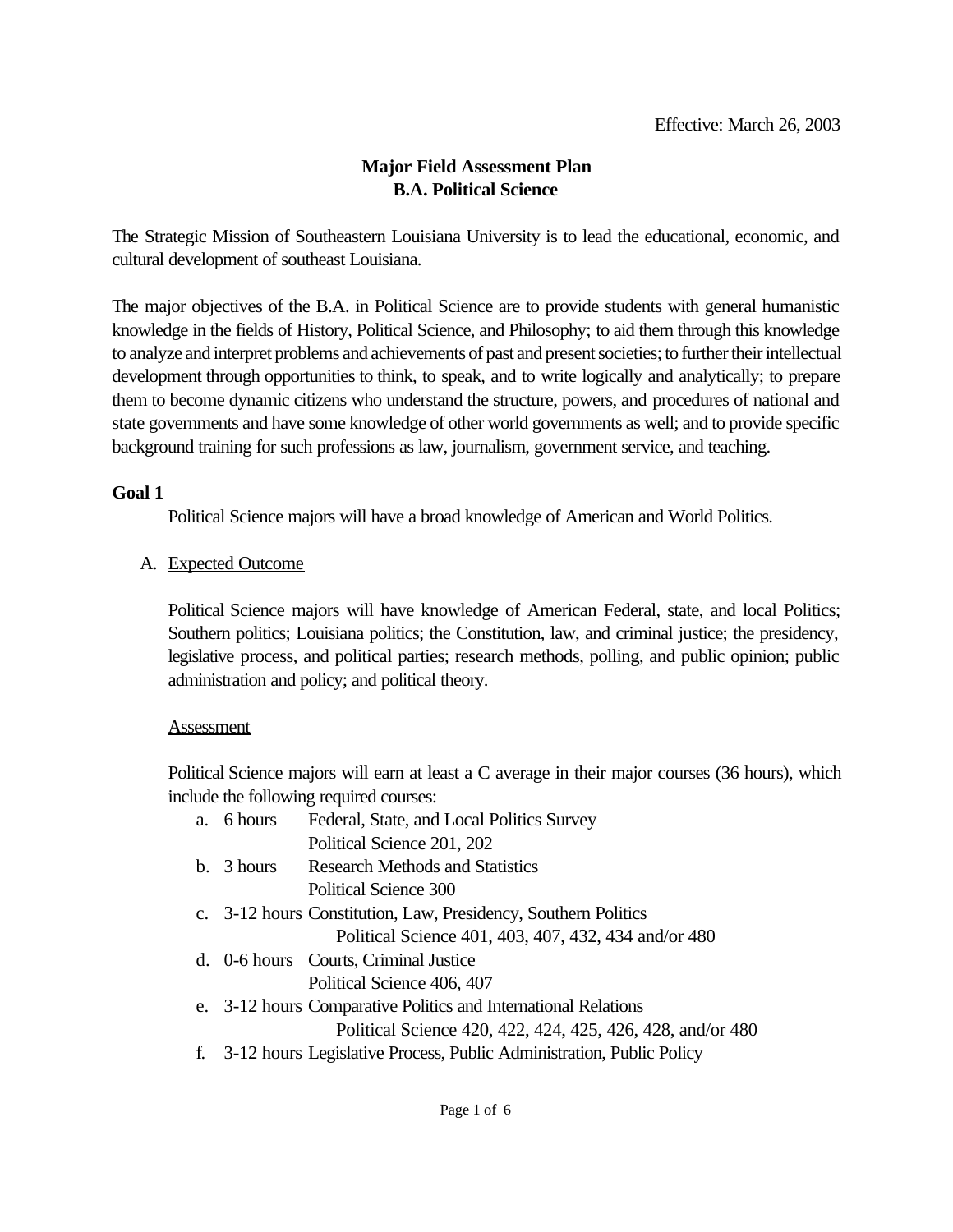# **Major Field Assessment Plan B.A. Political Science**

The Strategic Mission of Southeastern Louisiana University is to lead the educational, economic, and cultural development of southeast Louisiana.

The major objectives of the B.A. in Political Science are to provide students with general humanistic knowledge in the fields of History, Political Science, and Philosophy; to aid them through this knowledge to analyze and interpret problems and achievements of past and present societies; to further their intellectual development through opportunities to think, to speak, and to write logically and analytically; to prepare them to become dynamic citizens who understand the structure, powers, and procedures of national and state governments and have some knowledge of other world governments as well; and to provide specific background training for such professions as law, journalism, government service, and teaching.

## **Goal 1**

Political Science majors will have a broad knowledge of American and World Politics.

A. Expected Outcome

Political Science majors will have knowledge of American Federal, state, and local Politics; Southern politics; Louisiana politics; the Constitution, law, and criminal justice; the presidency, legislative process, and political parties; research methods, polling, and public opinion; public administration and policy; and political theory.

### Assessment

Political Science majors will earn at least a C average in their major courses (36 hours), which include the following required courses:

|    | a. 6 hours   | Federal, State, and Local Politics Survey                            |
|----|--------------|----------------------------------------------------------------------|
|    |              | Political Science 201, 202                                           |
|    | b. $3 hours$ | <b>Research Methods and Statistics</b>                               |
|    |              | Political Science 300                                                |
|    |              | c. 3-12 hours Constitution, Law, Presidency, Southern Politics       |
|    |              | Political Science 401, 403, 407, 432, 434 and/or 480                 |
|    |              | d. 0-6 hours Courts, Criminal Justice                                |
|    |              | Political Science 406, 407                                           |
|    |              | e. 3-12 hours Comparative Politics and International Relations       |
|    |              | Political Science 420, 422, 424, 425, 426, 428, and/or 480           |
| f. |              | 3-12 hours Legislative Process, Public Administration, Public Policy |
|    |              |                                                                      |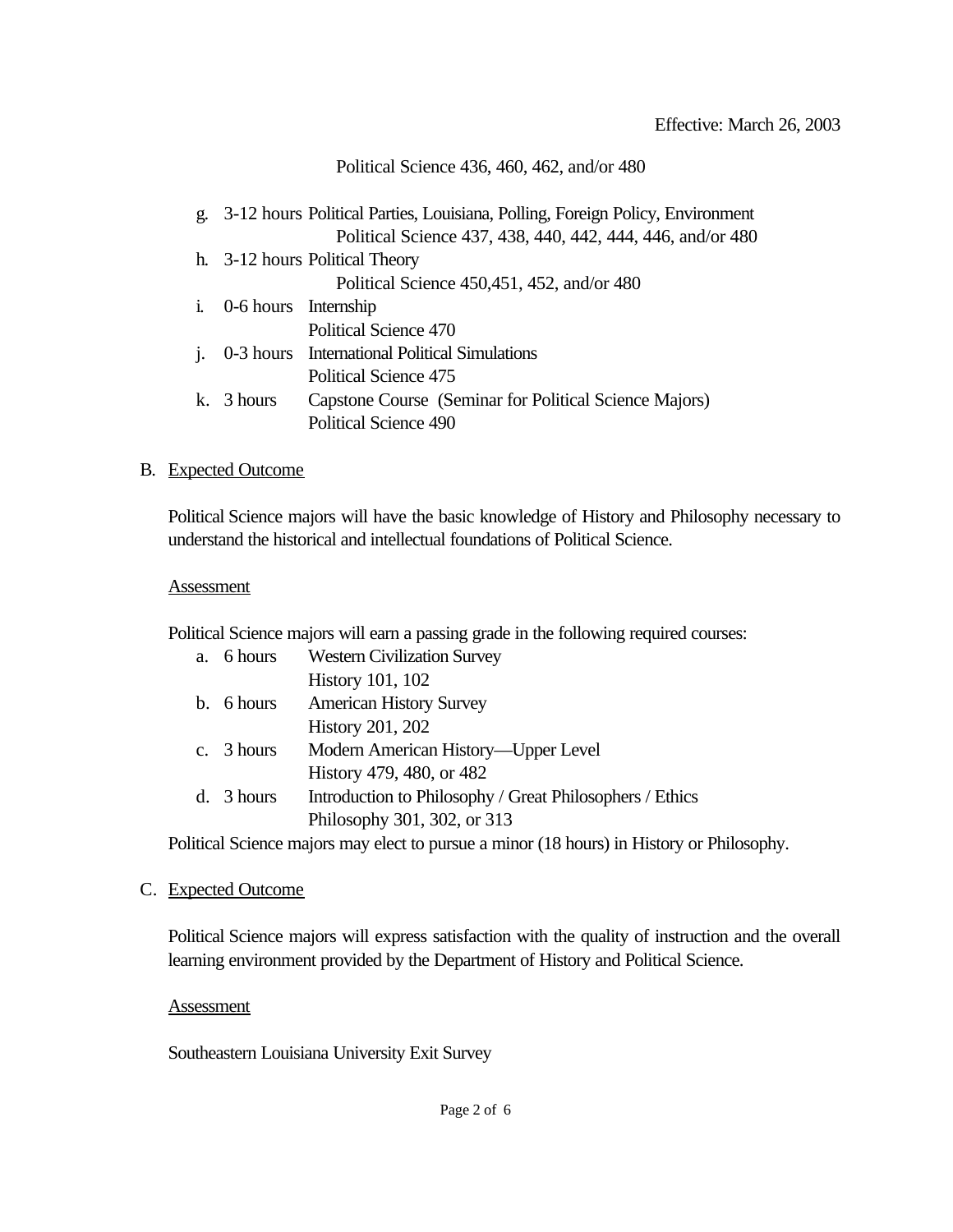Political Science 436, 460, 462, and/or 480

|    |                         | g. 3-12 hours Political Parties, Louisiana, Polling, Foreign Policy, Environment |
|----|-------------------------|----------------------------------------------------------------------------------|
|    |                         | Political Science 437, 438, 440, 442, 444, 446, and/or 480                       |
|    |                         | h. 3-12 hours Political Theory                                                   |
|    |                         | Political Science 450,451, 452, and/or 480                                       |
|    | i. 0-6 hours Internship |                                                                                  |
|    |                         | Political Science 470                                                            |
| i. |                         | 0-3 hours International Political Simulations                                    |
|    |                         | Political Science 475                                                            |
|    | k. $3 hours$            | Capstone Course (Seminar for Political Science Majors)                           |
|    |                         | Political Science 490                                                            |

## B. Expected Outcome

Political Science majors will have the basic knowledge of History and Philosophy necessary to understand the historical and intellectual foundations of Political Science.

#### Assessment

Political Science majors will earn a passing grade in the following required courses:

| a. 6 hours   | <b>Western Civilization Survey</b>                       |
|--------------|----------------------------------------------------------|
|              | <b>History 101, 102</b>                                  |
| b. 6 hours   | <b>American History Survey</b>                           |
|              | <b>History 201, 202</b>                                  |
| c. 3 hours   | Modern American History—Upper Level                      |
|              | History 479, 480, or 482                                 |
| d. $3 hours$ | Introduction to Philosophy / Great Philosophers / Ethics |
|              | Philosophy 301, 302, or 313                              |

Political Science majors may elect to pursue a minor (18 hours) in History or Philosophy.

### C. Expected Outcome

Political Science majors will express satisfaction with the quality of instruction and the overall learning environment provided by the Department of History and Political Science.

### **Assessment**

Southeastern Louisiana University Exit Survey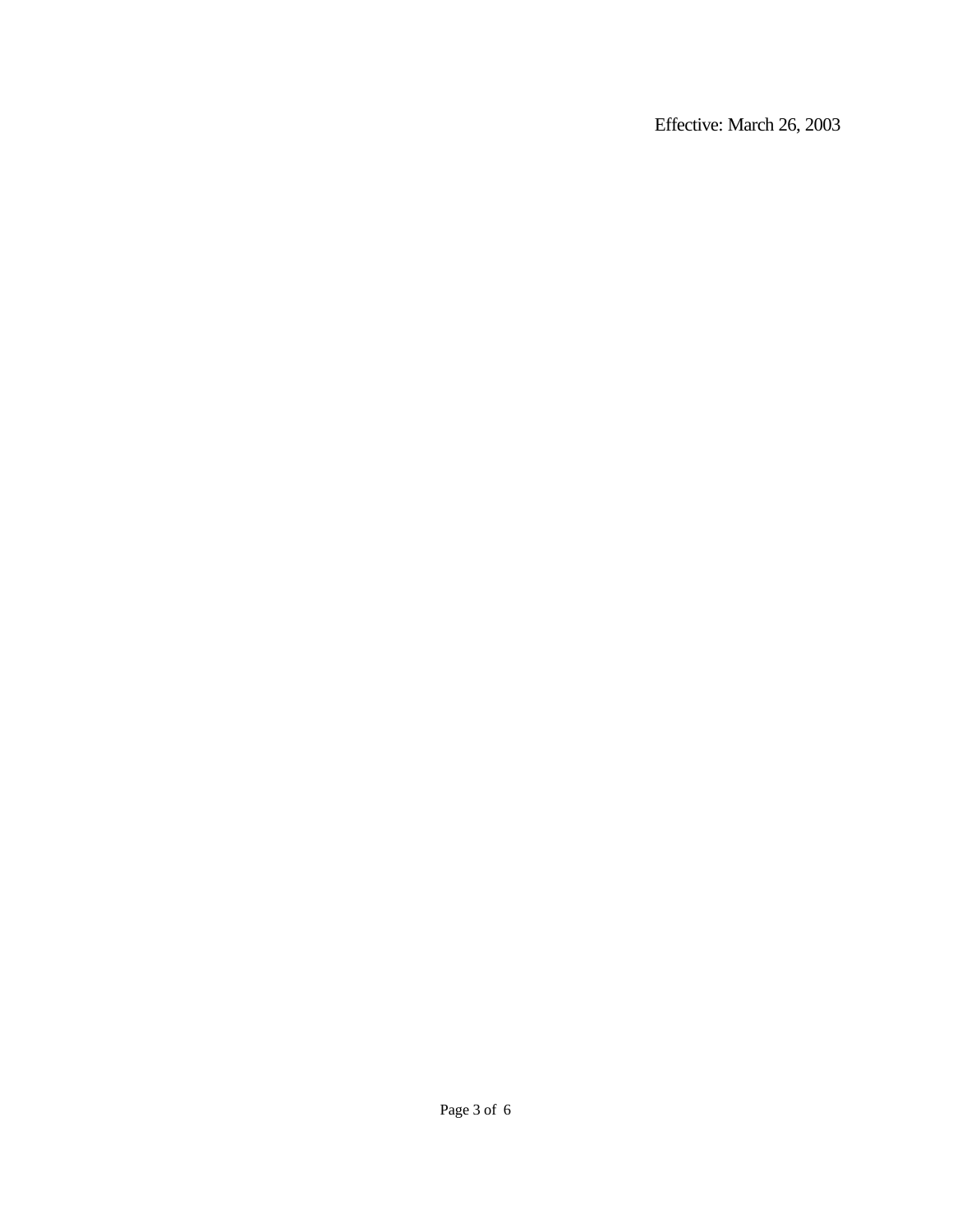Effective: March 26, 2003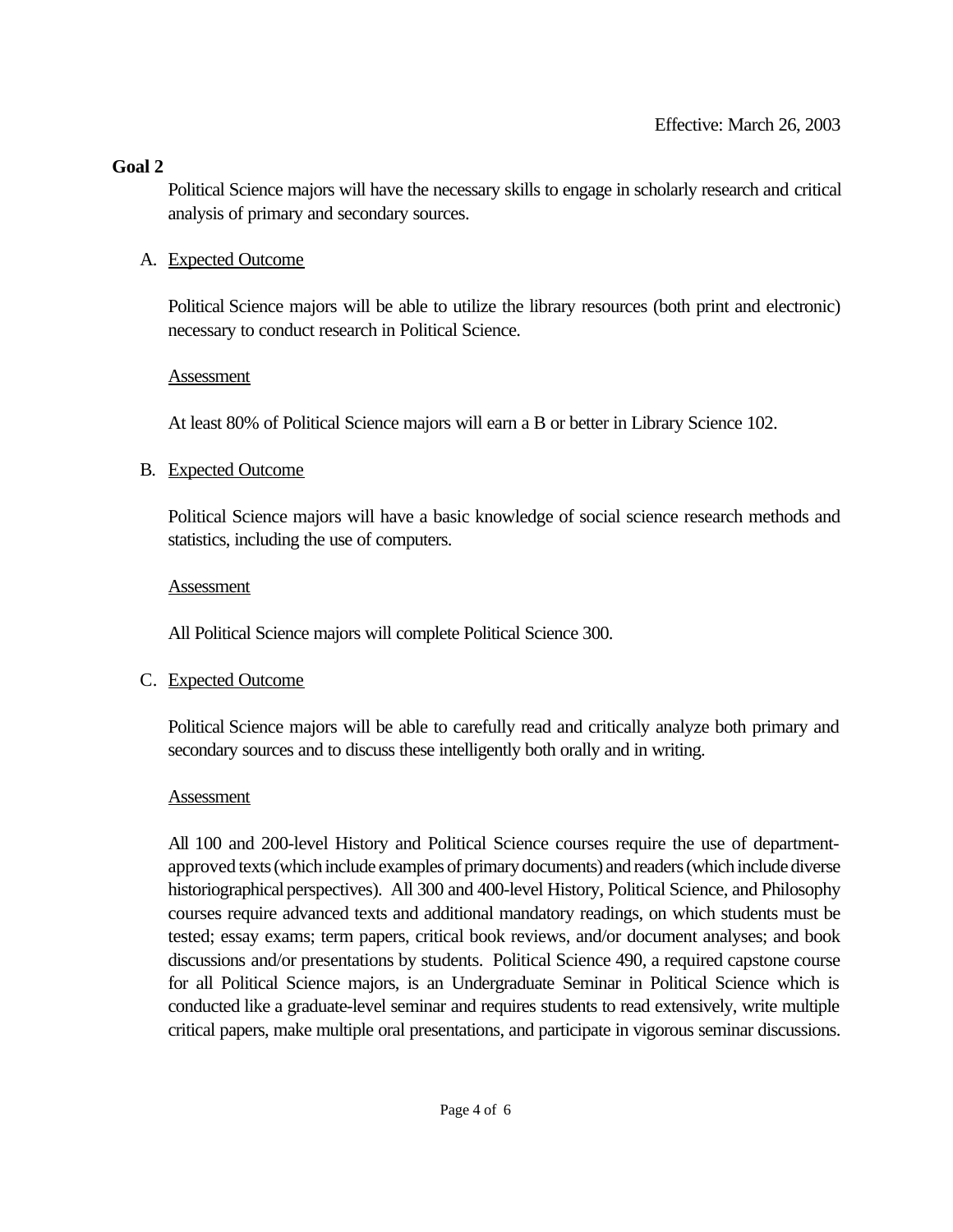### **Goal 2**

Political Science majors will have the necessary skills to engage in scholarly research and critical analysis of primary and secondary sources.

## A. Expected Outcome

Political Science majors will be able to utilize the library resources (both print and electronic) necessary to conduct research in Political Science.

### Assessment

At least 80% of Political Science majors will earn a B or better in Library Science 102.

## B. Expected Outcome

Political Science majors will have a basic knowledge of social science research methods and statistics, including the use of computers.

## Assessment

All Political Science majors will complete Political Science 300.

# C. Expected Outcome

Political Science majors will be able to carefully read and critically analyze both primary and secondary sources and to discuss these intelligently both orally and in writing.

### Assessment

All 100 and 200-level History and Political Science courses require the use of departmentapproved texts (which include examples of primary documents) and readers (which include diverse historiographical perspectives). All 300 and 400-level History, Political Science, and Philosophy courses require advanced texts and additional mandatory readings, on which students must be tested; essay exams; term papers, critical book reviews, and/or document analyses; and book discussions and/or presentations by students. Political Science 490, a required capstone course for all Political Science majors, is an Undergraduate Seminar in Political Science which is conducted like a graduate-level seminar and requires students to read extensively, write multiple critical papers, make multiple oral presentations, and participate in vigorous seminar discussions.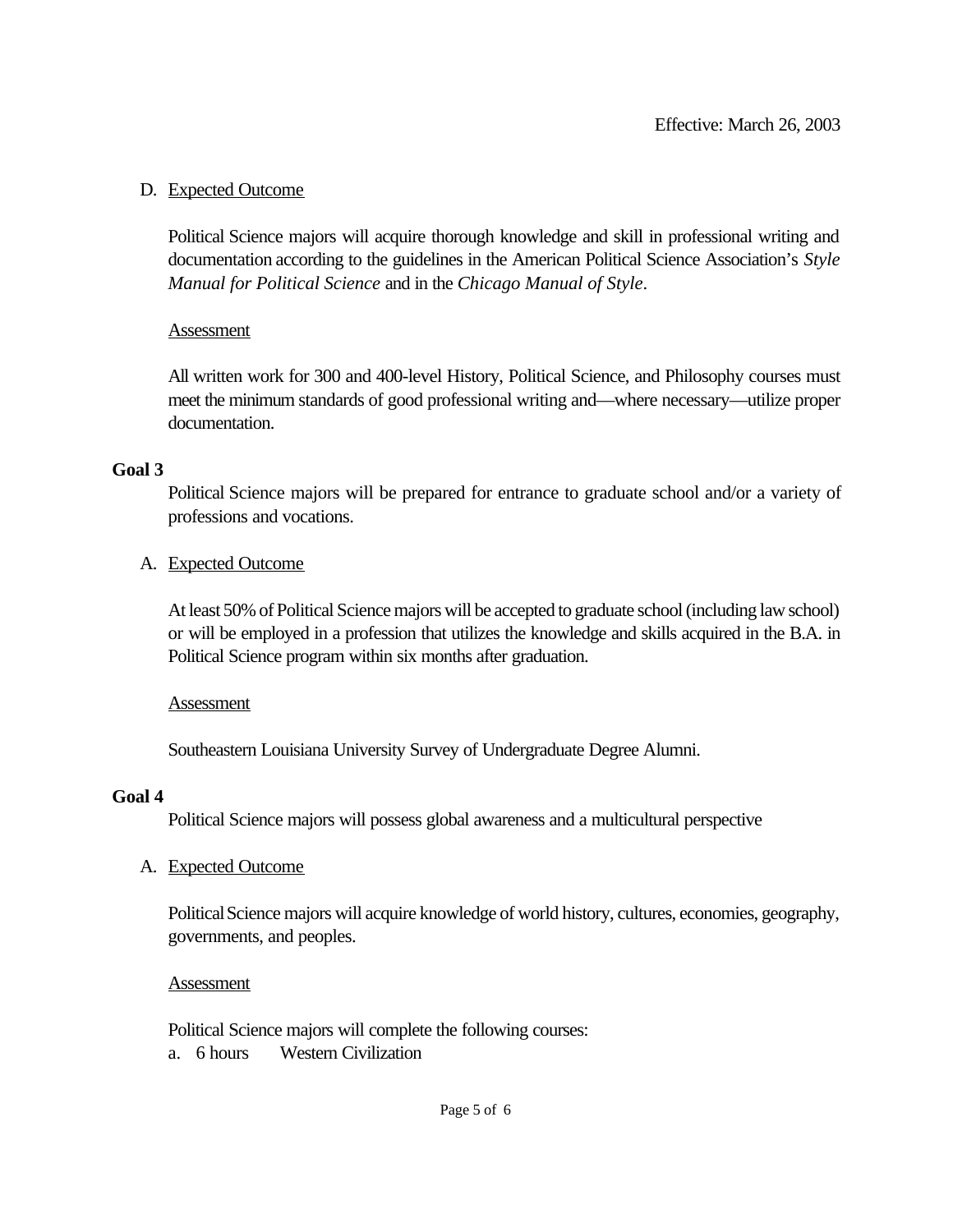# D. Expected Outcome

Political Science majors will acquire thorough knowledge and skill in professional writing and documentation according to the guidelines in the American Political Science Association's *Style Manual for Political Science* and in the *Chicago Manual of Style*.

### Assessment

All written work for 300 and 400-level History, Political Science, and Philosophy courses must meet the minimum standards of good professional writing and—where necessary—utilize proper documentation.

### **Goal 3**

Political Science majors will be prepared for entrance to graduate school and/or a variety of professions and vocations.

### A. Expected Outcome

At least 50% of Political Science majors will be accepted to graduate school (including law school) or will be employed in a profession that utilizes the knowledge and skills acquired in the B.A. in Political Science program within six months after graduation.

### Assessment

Southeastern Louisiana University Survey of Undergraduate Degree Alumni.

### **Goal 4**

Political Science majors will possess global awareness and a multicultural perspective

A. Expected Outcome

Political Science majors will acquire knowledge of world history, cultures, economies, geography, governments, and peoples.

### Assessment

Political Science majors will complete the following courses: a. 6 hours Western Civilization